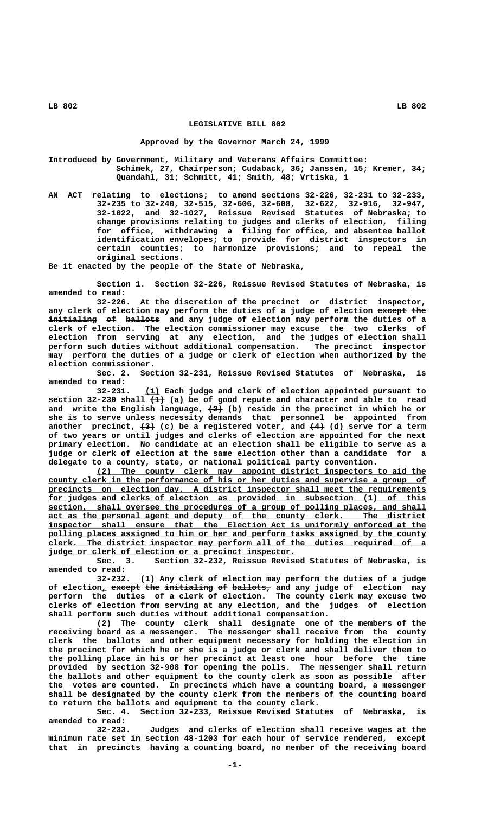## **LEGISLATIVE BILL 802**

## **Approved by the Governor March 24, 1999**

**Introduced by Government, Military and Veterans Affairs Committee: Schimek, 27, Chairperson; Cudaback, 36; Janssen, 15; Kremer, 34; Quandahl, 31; Schmitt, 41; Smith, 48; Vrtiska, 1**

**AN ACT relating to elections; to amend sections 32-226, 32-231 to 32-233, 32-235 to 32-240, 32-515, 32-606, 32-608, 32-622, 32-916, 32-947, 32-1022, and 32-1027, Reissue Revised Statutes of Nebraska; to change provisions relating to judges and clerks of election, filing for office, withdrawing a filing for office, and absentee ballot identification envelopes; to provide for district inspectors in certain counties; to harmonize provisions; and to repeal the original sections.**

**Be it enacted by the people of the State of Nebraska,**

**Section 1. Section 32-226, Reissue Revised Statutes of Nebraska, is amended to read:**

At the discretion of the precinct or district inspector, any clerk of election may perform the duties of a judge of election except the initialing of ballots and any judge of election may perform the duties of a **clerk of election. The election commissioner may excuse the two clerks of election from serving at any election, and the judges of election shall perform such duties without additional compensation. The precinct inspector may perform the duties of a judge or clerk of election when authorized by the election commissioner.**

**Sec. 2. Section 32-231, Reissue Revised Statutes of Nebraska, is amended to read:**

 **\_\_\_ 32-231. (1) Each judge and clerk of election appointed pursuant to ——— \_\_\_ section 32-230 shall (1) (a) be of good repute and character and able to read** and write the English language,  $\left(2\right)$  (b) reside in the precinct in which he or **she is to serve unless necessity demands that personnel be appointed from** another precinct,  $\left(3\right)$  (c) be a registered voter, and  $\left(4\right)$  (d) serve for a term **of two years or until judges and clerks of election are appointed for the next primary election. No candidate at an election shall be eligible to serve as a judge or clerk of election at the same election other than a candidate for a delegate to a county, state, or national political party convention.**

 **\_\_\_\_\_\_\_\_\_\_\_\_\_\_\_\_\_\_\_\_\_\_\_\_\_\_\_\_\_\_\_\_\_\_\_\_\_\_\_\_\_\_\_\_\_\_\_\_\_\_\_\_\_\_\_\_\_\_\_\_\_\_\_\_\_\_\_\_ (2) The county clerk may appoint district inspectors to aid the \_\_\_\_\_\_\_\_\_\_\_\_\_\_\_\_\_\_\_\_\_\_\_\_\_\_\_\_\_\_\_\_\_\_\_\_\_\_\_\_\_\_\_\_\_\_\_\_\_\_\_\_\_\_\_\_\_\_\_\_\_\_\_\_\_\_\_\_\_\_\_\_\_\_\_\_\_\_ county clerk in the performance of his or her duties and supervise a group of \_\_\_\_\_\_\_\_\_\_\_\_\_\_\_\_\_\_\_\_\_\_\_\_\_\_\_\_\_\_\_\_\_\_\_\_\_\_\_\_\_\_\_\_\_\_\_\_\_\_\_\_\_\_\_\_\_\_\_\_\_\_\_\_\_\_\_\_\_\_\_\_\_\_\_\_\_\_ precincts on election day. A district inspector shall meet the requirements \_\_\_\_\_\_\_\_\_\_\_\_\_\_\_\_\_\_\_\_\_\_\_\_\_\_\_\_\_\_\_\_\_\_\_\_\_\_\_\_\_\_\_\_\_\_\_\_\_\_\_\_\_\_\_\_\_\_\_\_\_\_\_\_\_\_\_\_\_\_\_\_\_\_\_\_\_\_ for judges and clerks of election as provided in subsection (1) of this**  $\overline{\text{section}}$ , shall oversee the procedures of a group of polling places, and shall  **\_\_\_\_\_\_\_\_\_\_\_\_\_\_\_\_\_\_\_\_\_\_\_\_\_\_\_\_\_\_\_\_\_\_\_\_\_\_\_\_\_\_\_\_\_\_\_\_\_\_\_\_\_\_\_\_\_\_\_\_\_\_\_\_\_\_\_\_\_\_\_\_\_\_\_\_\_\_ act as the personal agent and deputy of the county clerk. The district** inspector shall ensure that the Election Act is uniformly enforced at the polling places assigned to him or her and perform tasks assigned by the county  **\_\_\_\_\_\_\_\_\_\_\_\_\_\_\_\_\_\_\_\_\_\_\_\_\_\_\_\_\_\_\_\_\_\_\_\_\_\_\_\_\_\_\_\_\_\_\_\_\_\_\_\_\_\_\_\_\_\_\_\_\_\_\_\_\_\_\_\_\_\_\_\_\_\_\_\_\_\_ clerk. The district inspector may perform all of the duties required of a \_\_\_\_\_\_\_\_\_\_\_\_\_\_\_\_\_\_\_\_\_\_\_\_\_\_\_\_\_\_\_\_\_\_\_\_\_\_\_\_\_\_\_\_\_\_\_\_\_\_\_ judge or clerk of election or a precinct inspector.**

**Sec. 3. Section 32-232, Reissue Revised Statutes of Nebraska, is amended to read:**

**32-232. (1) Any clerk of election may perform the duties of a judge** of election, except the initialing of ballots, and any judge of election may **perform the duties of a clerk of election. The county clerk may excuse two clerks of election from serving at any election, and the judges of election shall perform such duties without additional compensation.**

**(2) The county clerk shall designate one of the members of the receiving board as a messenger. The messenger shall receive from the county clerk the ballots and other equipment necessary for holding the election in the precinct for which he or she is a judge or clerk and shall deliver them to the polling place in his or her precinct at least one hour before the time provided by section 32-908 for opening the polls. The messenger shall return the ballots and other equipment to the county clerk as soon as possible after the votes are counted. In precincts which have a counting board, a messenger shall be designated by the county clerk from the members of the counting board to return the ballots and equipment to the county clerk.**

**Sec. 4. Section 32-233, Reissue Revised Statutes of Nebraska, is amended to read:**

**32-233. Judges and clerks of election shall receive wages at the minimum rate set in section 48-1203 for each hour of service rendered, except that in precincts having a counting board, no member of the receiving board**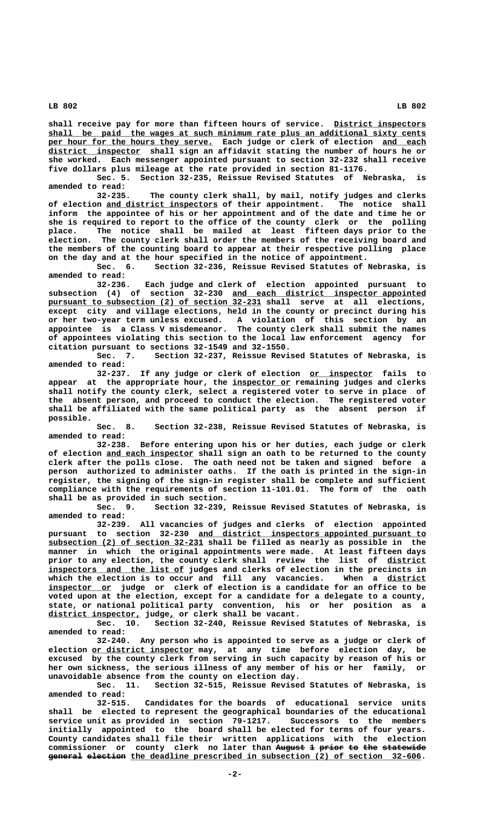shall receive pay for more than fifteen hours of service. District inspectors shall be paid the wages at such minimum rate plus an additional sixty cents per hour for the hours they serve. Each judge or clerk of election and each  **\_\_\_\_\_\_\_\_\_\_\_\_\_\_\_\_\_\_\_ district inspector shall sign an affidavit stating the number of hours he or she worked. Each messenger appointed pursuant to section 32-232 shall receive five dollars plus mileage at the rate provided in section 81-1176.**

**Sec. 5. Section 32-235, Reissue Revised Statutes of Nebraska, is amended to read:**

**32-235. The county clerk shall, by mail, notify judges and clerks** of election and district inspectors of their appointment. The notice shall **inform the appointee of his or her appointment and of the date and time he or she is required to report to the office of the county clerk or the polling place. The notice shall be mailed at least fifteen days prior to the election. The county clerk shall order the members of the receiving board and the members of the counting board to appear at their respective polling place on the day and at the hour specified in the notice of appointment.**

**Sec. 6. Section 32-236, Reissue Revised Statutes of Nebraska, is amended to read:**

**32-236. Each judge and clerk of election appointed pursuant to** subsection (4) of section 32-230 <u>and each district inspector appointed</u> pursuant to subsection (2) of section 32-231 shall serve at all elections, **except city and village elections, held in the county or precinct during his or her two-year term unless excused. A violation of this section by an appointee is a Class V misdemeanor. The county clerk shall submit the names of appointees violating this section to the local law enforcement agency for citation pursuant to sections 32-1549 and 32-1550.**

**Sec. 7. Section 32-237, Reissue Revised Statutes of Nebraska, is amended to read:**

32-237. If any judge or clerk of election or inspector fails to  **\_\_\_\_\_\_\_\_\_\_\_\_ appear at the appropriate hour, the inspector or remaining judges and clerks shall notify the county clerk, select a registered voter to serve in place of the absent person, and proceed to conduct the election. The registered voter shall be affiliated with the same political party as the absent person if possible.**

**Sec. 8. Section 32-238, Reissue Revised Statutes of Nebraska, is amended to read:**

**32-238. Before entering upon his or her duties, each judge or clerk \_\_\_\_\_\_\_\_\_\_\_\_\_\_\_\_\_\_ of election and each inspector shall sign an oath to be returned to the county clerk after the polls close. The oath need not be taken and signed before a person authorized to administer oaths. If the oath is printed in the sign-in register, the signing of the sign-in register shall be complete and sufficient compliance with the requirements of section 11-101.01. The form of the oath shall be as provided in such section.**

**Sec. 9. Section 32-239, Reissue Revised Statutes of Nebraska, is amended to read:**

**32-239. All vacancies of judges and clerks of election appointed** pursuant to section 32-230 and district inspectors appointed pursuant to  **\_\_\_\_\_\_\_\_\_\_\_\_\_\_\_\_\_\_\_\_\_\_\_\_\_\_\_\_\_\_\_\_ subsection (2) of section 32-231 shall be filled as nearly as possible in the manner in which the original appointments were made. At least fifteen days prior to any election, the county clerk shall review the list of district \_\_\_\_\_\_\_\_**  $\frac{1}{10}$  inspectors and the list of judges and clerks of election in the precincts in which the election is to occur and fill any vacancies. When a district which the election is to occur and fill any vacancies.  **\_\_\_\_\_\_\_\_\_\_\_\_\_ inspector or judge or clerk of election is a candidate for an office to be voted upon at the election, except for a candidate for a delegate to a county, state, or national political party convention, his or her position as a \_\_\_\_\_\_\_\_\_\_\_\_\_\_\_\_\_\_\_ \_ district inspector, judge, or clerk shall be vacant.**

**Sec. 10. Section 32-240, Reissue Revised Statutes of Nebraska, is**

**amended to read: 32-240. Any person who is appointed to serve as a judge or clerk of** election or district inspector may, at any time before election day, be **excused by the county clerk from serving in such capacity by reason of his or her own sickness, the serious illness of any member of his or her family, or unavoidable absence from the county on election day.**

**Sec. 11. Section 32-515, Reissue Revised Statutes of Nebraska, is amended to read:**

**32-515. Candidates for the boards of educational service units shall be elected to represent the geographical boundaries of the educational service unit as provided in section 79-1217. Successors to the members initially appointed to the board shall be elected for terms of four years. County candidates shall file their written applications with the election commissioner or county clerk no later than August 1 prior to the statewide —————— — ————— —— ——— ————————** general election the deadline prescribed in subsection (2) of section 32-606.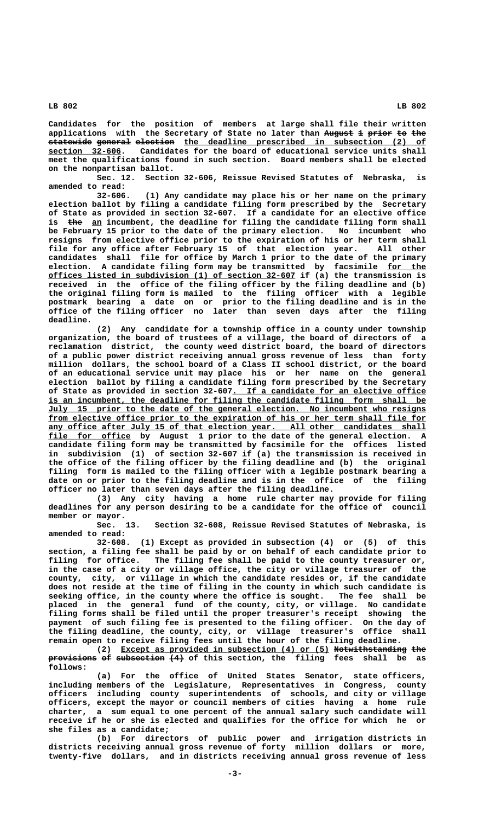**Candidates for the position of members at large shall file their written** applications with the Secretary of State no later than August 1 prior to the  $\texttt{statewide}$  general election the deadline prescribed in subsection (2) of  **\_\_\_\_\_\_\_\_\_\_\_\_\_\_\_ section 32-606. Candidates for the board of educational service units shall meet the qualifications found in such section. Board members shall be elected on the nonpartisan ballot.**

**Sec. 12. Section 32-606, Reissue Revised Statutes of Nebraska, is amended to read:**

**32-606. (1) Any candidate may place his or her name on the primary election ballot by filing a candidate filing form prescribed by the Secretary of State as provided in section 32-607. If a candidate for an elective office** is the an incumbent, the deadline for filing the candidate filing form shall **be February 15 prior to the date of the primary election. No incumbent who resigns from elective office prior to the expiration of his or her term shall file for any office after February 15 of that election year. All other candidates shall file for office by March 1 prior to the date of the primary election. A candidate filing form may be transmitted by facsimile for the \_\_\_\_\_\_\_\_ \_\_\_\_\_\_\_\_\_\_\_\_\_\_\_\_\_\_\_\_\_\_\_\_\_\_\_\_\_\_\_\_\_\_\_\_\_\_\_\_\_\_\_\_\_\_\_\_\_\_\_ offices listed in subdivision (1) of section 32-607 if (a) the transmission is received in the office of the filing officer by the filing deadline and (b) the original filing form is mailed to the filing officer with a legible postmark bearing a date on or prior to the filing deadline and is in the office of the filing officer no later than seven days after the filing deadline.**

**(2) Any candidate for a township office in a county under township organization, the board of trustees of a village, the board of directors of a reclamation district, the county weed district board, the board of directors of a public power district receiving annual gross revenue of less than forty million dollars, the school board of a Class II school district, or the board of an educational service unit may place his or her name on the general election ballot by filing a candidate filing form prescribed by the Secretary \_\_\_\_\_\_\_\_\_\_\_\_\_\_\_\_\_\_\_\_\_\_\_\_\_\_\_\_\_\_\_\_\_\_\_\_\_\_\_\_ of State as provided in section 32-607. If a candidate for an elective office \_\_\_\_\_\_\_\_\_\_\_\_\_\_\_\_\_\_\_\_\_\_\_\_\_\_\_\_\_\_\_\_\_\_\_\_\_\_\_\_\_\_\_\_\_\_\_\_\_\_\_\_\_\_\_\_\_\_\_\_\_\_\_\_\_\_\_\_\_\_\_\_\_\_\_\_\_\_ is an incumbent, the deadline for filing the candidate filing form shall be \_\_\_\_\_\_\_\_\_\_\_\_\_\_\_\_\_\_\_\_\_\_\_\_\_\_\_\_\_\_\_\_\_\_\_\_\_\_\_\_\_\_\_\_\_\_\_\_\_\_\_\_\_\_\_\_\_\_\_\_\_\_\_\_\_\_\_\_\_\_\_\_\_\_\_\_\_\_ July 15 prior to the date of the general election. No incumbent who resigns** from elective office prior to the expiration of his or her term shall file for any office after July 15 of that election year. All other candidates shall  **\_\_\_\_\_\_\_\_\_\_\_\_\_\_\_\_\_ file for office by August 1 prior to the date of the general election. A candidate filing form may be transmitted by facsimile for the offices listed in subdivision (1) of section 32-607 if (a) the transmission is received in the office of the filing officer by the filing deadline and (b) the original filing form is mailed to the filing officer with a legible postmark bearing a date on or prior to the filing deadline and is in the office of the filing officer no later than seven days after the filing deadline.**

**(3) Any city having a home rule charter may provide for filing deadlines for any person desiring to be a candidate for the office of council member or mayor.**

**Sec. 13. Section 32-608, Reissue Revised Statutes of Nebraska, is amended to read:**

**32-608. (1) Except as provided in subsection (4) or (5) of this section, a filing fee shall be paid by or on behalf of each candidate prior to filing for office. The filing fee shall be paid to the county treasurer or, in the case of a city or village office, the city or village treasurer of the county, city, or village in which the candidate resides or, if the candidate does not reside at the time of filing in the county in which such candidate is seeking office, in the county where the office is sought. The fee shall be placed in the general fund of the county, city, or village. No candidate filing forms shall be filed until the proper treasurer's receipt showing the payment of such filing fee is presented to the filing officer. On the day of the filing deadline, the county, city, or village treasurer's office shall remain open to receive filing fees until the hour of the filing deadline.**

(2) Except as provided in subsection (4) or (5) Notwithstanding the **provisions of subsection (4)** of this section, the filing fees shall be as  **follows:**

**(a) For the office of United States Senator, state officers, including members of the Legislature, Representatives in Congress, county officers including county superintendents of schools, and city or village officers, except the mayor or council members of cities having a home rule charter, a sum equal to one percent of the annual salary such candidate will receive if he or she is elected and qualifies for the office for which he or she files as a candidate;**

**(b) For directors of public power and irrigation districts in districts receiving annual gross revenue of forty million dollars or more, twenty-five dollars, and in districts receiving annual gross revenue of less**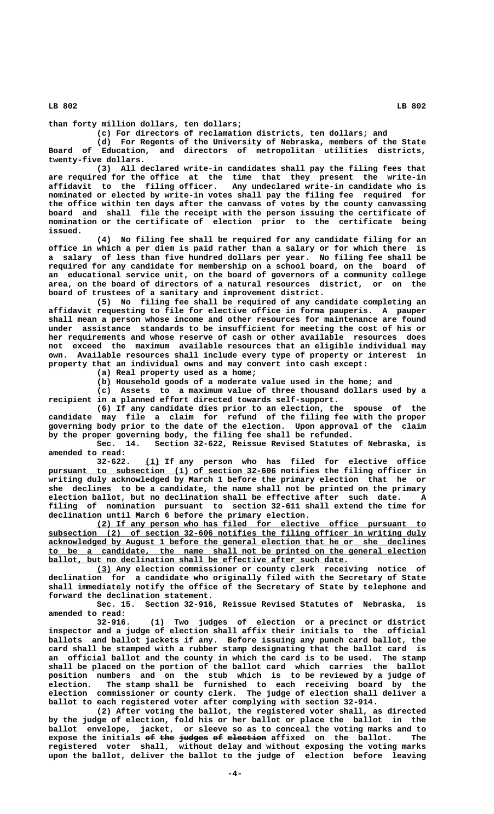**than forty million dollars, ten dollars;**

**(c) For directors of reclamation districts, ten dollars; and**

**(d) For Regents of the University of Nebraska, members of the State Board of Education, and directors of metropolitan utilities districts, twenty-five dollars.**

**(3) All declared write-in candidates shall pay the filing fees that are required for the office at the time that they present the write-in affidavit to the filing officer. Any undeclared write-in candidate who is nominated or elected by write-in votes shall pay the filing fee required for the office within ten days after the canvass of votes by the county canvassing board and shall file the receipt with the person issuing the certificate of nomination or the certificate of election prior to the certificate being issued.**

**(4) No filing fee shall be required for any candidate filing for an office in which a per diem is paid rather than a salary or for which there is a salary of less than five hundred dollars per year. No filing fee shall be required for any candidate for membership on a school board, on the board of an educational service unit, on the board of governors of a community college area, on the board of directors of a natural resources district, or on the board of trustees of a sanitary and improvement district.**

**(5) No filing fee shall be required of any candidate completing an affidavit requesting to file for elective office in forma pauperis. A pauper shall mean a person whose income and other resources for maintenance are found under assistance standards to be insufficient for meeting the cost of his or her requirements and whose reserve of cash or other available resources does not exceed the maximum available resources that an eligible individual may own. Available resources shall include every type of property or interest in property that an individual owns and may convert into cash except:**

**(a) Real property used as a home;**

**(b) Household goods of a moderate value used in the home; and**

**(c) Assets to a maximum value of three thousand dollars used by a recipient in a planned effort directed towards self-support.**

**(6) If any candidate dies prior to an election, the spouse of the candidate may file a claim for refund of the filing fee with the proper governing body prior to the date of the election. Upon approval of the claim by the proper governing body, the filing fee shall be refunded.**

**Sec. 14. Section 32-622, Reissue Revised Statutes of Nebraska, is amended to read:**

 **\_\_\_ 32-622. (1) If any person who has filed for elective office \_\_\_\_\_\_\_\_\_\_\_\_\_\_\_\_\_\_\_\_\_\_\_\_\_\_\_\_\_\_\_\_\_\_\_\_\_\_\_\_\_\_\_\_\_\_\_ pursuant to subsection (1) of section 32-606 notifies the filing officer in writing duly acknowledged by March 1 before the primary election that he or she declines to be a candidate, the name shall not be printed on the primary election ballot, but no declination shall be effective after such date. A filing of nomination pursuant to section 32-611 shall extend the time for declination until March 6 before the primary election.**

 **\_\_\_\_\_\_\_\_\_\_\_\_\_\_\_\_\_\_\_\_\_\_\_\_\_\_\_\_\_\_\_\_\_\_\_\_\_\_\_\_\_\_\_\_\_\_\_\_\_\_\_\_\_\_\_\_\_\_\_\_\_\_\_\_\_\_\_\_ (2) If any person who has filed for elective office pursuant to \_\_\_\_\_\_\_\_\_\_\_\_\_\_\_\_\_\_\_\_\_\_\_\_\_\_\_\_\_\_\_\_\_\_\_\_\_\_\_\_\_\_\_\_\_\_\_\_\_\_\_\_\_\_\_\_\_\_\_\_\_\_\_\_\_\_\_\_\_\_\_\_\_\_\_\_\_\_ subsection (2) of section 32-606 notifies the filing officer in writing duly \_\_\_\_\_\_\_\_\_\_\_\_\_\_\_\_\_\_\_\_\_\_\_\_\_\_\_\_\_\_\_\_\_\_\_\_\_\_\_\_\_\_\_\_\_\_\_\_\_\_\_\_\_\_\_\_\_\_\_\_\_\_\_\_\_\_\_\_\_\_\_\_\_\_\_\_\_\_ acknowledged by August 1 before the general election that he or she declines \_\_\_\_\_\_\_\_\_\_\_\_\_\_\_\_\_\_\_\_\_\_\_\_\_\_\_\_\_\_\_\_\_\_\_\_\_\_\_\_\_\_\_\_\_\_\_\_\_\_\_\_\_\_\_\_\_\_\_\_\_\_\_\_\_\_\_\_\_\_\_\_\_\_\_\_\_\_ to be a candidate, the name shall not be printed on the general election**  $ballot$ , but no declination shall be effective after such date.

 **\_\_\_ (3) Any election commissioner or county clerk receiving notice of declination for a candidate who originally filed with the Secretary of State shall immediately notify the office of the Secretary of State by telephone and forward the declination statement.**

**Sec. 15. Section 32-916, Reissue Revised Statutes of Nebraska, is amended to read:**

**32-916. (1) Two judges of election or a precinct or district inspector and a judge of election shall affix their initials to the official ballots and ballot jackets if any. Before issuing any punch card ballot, the card shall be stamped with a rubber stamp designating that the ballot card is an official ballot and the county in which the card is to be used. The stamp shall be placed on the portion of the ballot card which carries the ballot position numbers and on the stub which is to be reviewed by a judge of election. The stamp shall be furnished to each receiving board by the election commissioner or county clerk. The judge of election shall deliver a ballot to each registered voter after complying with section 32-914.**

**(2) After voting the ballot, the registered voter shall, as directed by the judge of election, fold his or her ballot or place the ballot in the ballot envelope, jacket, or sleeve so as to conceal the voting marks and to** expose the initials of the judges of election affixed on the ballot. The **registered voter shall, without delay and without exposing the voting marks upon the ballot, deliver the ballot to the judge of election before leaving**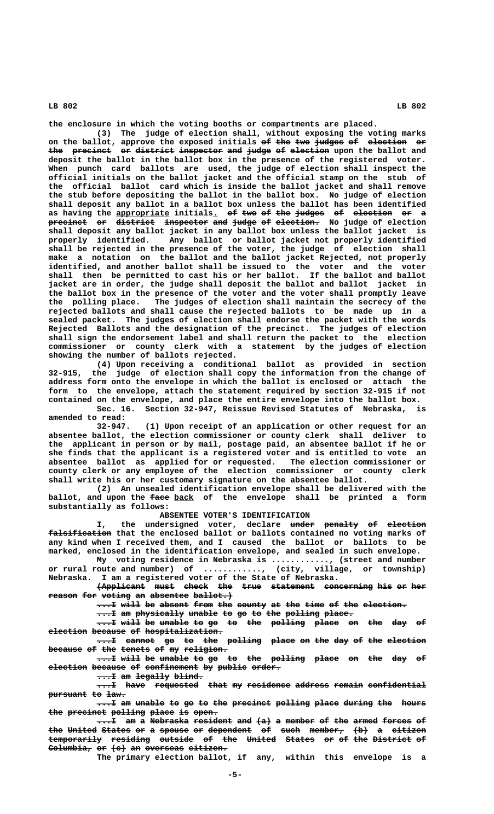**the enclosure in which the voting booths or compartments are placed.**

**(3) The judge of election shall, without exposing the voting marks** on the ballot, approve the exposed initials of the two judges of election or the precinct or district inspector and judge of election upon the ballot and **deposit the ballot in the ballot box in the presence of the registered voter. When punch card ballots are used, the judge of election shall inspect the official initials on the ballot jacket and the official stamp on the stub of the official ballot card which is inside the ballot jacket and shall remove the stub before depositing the ballot in the ballot box. No judge of election shall deposit any ballot in a ballot box unless the ballot has been identified** as having the appropriate initials.  $\Theta f$  two of the judges of election or a **precinct** or district inspector and judge of election. No judge of election **shall deposit any ballot jacket in any ballot box unless the ballot jacket is properly identified. Any ballot or ballot jacket not properly identified shall be rejected in the presence of the voter, the judge of election shall make a notation on the ballot and the ballot jacket Rejected, not properly identified, and another ballot shall be issued to the voter and the voter shall then be permitted to cast his or her ballot. If the ballot and ballot jacket are in order, the judge shall deposit the ballot and ballot jacket in the ballot box in the presence of the voter and the voter shall promptly leave the polling place. The judges of election shall maintain the secrecy of the rejected ballots and shall cause the rejected ballots to be made up in a sealed packet. The judges of election shall endorse the packet with the words Rejected Ballots and the designation of the precinct. The judges of election shall sign the endorsement label and shall return the packet to the election commissioner or county clerk with a statement by the judges of election showing the number of ballots rejected.**

**(4) Upon receiving a conditional ballot as provided in section 32-915, the judge of election shall copy the information from the change of address form onto the envelope in which the ballot is enclosed or attach the form to the envelope, attach the statement required by section 32-915 if not contained on the envelope, and place the entire envelope into the ballot box.**

**Sec. 16. Section 32-947, Reissue Revised Statutes of Nebraska, is amended to read:**

**32-947. (1) Upon receipt of an application or other request for an absentee ballot, the election commissioner or county clerk shall deliver to the applicant in person or by mail, postage paid, an absentee ballot if he or she finds that the applicant is a registered voter and is entitled to vote an absentee ballot as applied for or requested. The election commissioner or county clerk or any employee of the election commissioner or county clerk shall write his or her customary signature on the absentee ballot.**

**(2) An unsealed identification envelope shall be delivered with the** ballot, and upon the  $\frac{face}{face}$  <u>back</u> of the envelope shall be printed a form **substantially as follows:**

**ABSENTEE VOTER'S IDENTIFICATION**

I, the undersigned voter, declare under penalty of election falsification that the enclosed ballot or ballots contained no voting marks of **any kind when I received them, and I caused the ballot or ballots to be marked, enclosed in the identification envelope, and sealed in such envelope.**

**My voting residence in Nebraska is ............, (street and number or rural route and number) of ............, (city, village, or township) Nebraska. I am a registered voter of the State of Nebraska.**

**(Applicant must check the true statement concerning his or her**  $\frac{\text{reason}}{\text{foot}}$  **for voting an absentee ballot.** 

 $\dots$  I will be absent from the county at the time of the election.

 $\dots$  **am physically unable to go to the polling place.** 

...I will be unable to go to the polling place on the day of  $e$ *lection because of hospitalization.*  $\dots$  **Example go to the polling place on the day of the election** 

because of the tenets of my religion.

 $\dots$  I will be unable to go to the polling place on the day of election because of confinement by public order.

 $\dots$  am legally blind.

 $\dots$  have requested that my residence address remain confidential pursuant to law.

 $\dots$  **am unable to go to the precinct polling place during the hours** the precinct polling place is open.

 $\dots$  am a Nebraska resident and  $(a)$  a member of the armed forces of **the United States or a spouse or dependent of such member, (b) a citizen ——— —————— —————— —— — —————— —— ————————— —— ———— ——————— ——— — —————— temporarily residing outside of the United States or of the District of ——————————— ———————— ——————— —— ——— —————— —————— —— —— ——— ———————— ——** Columbia, or  $\left\lbrace \text{e} \right\rbrace$  an overseas citizen.

**The primary election ballot, if any, within this envelope is a**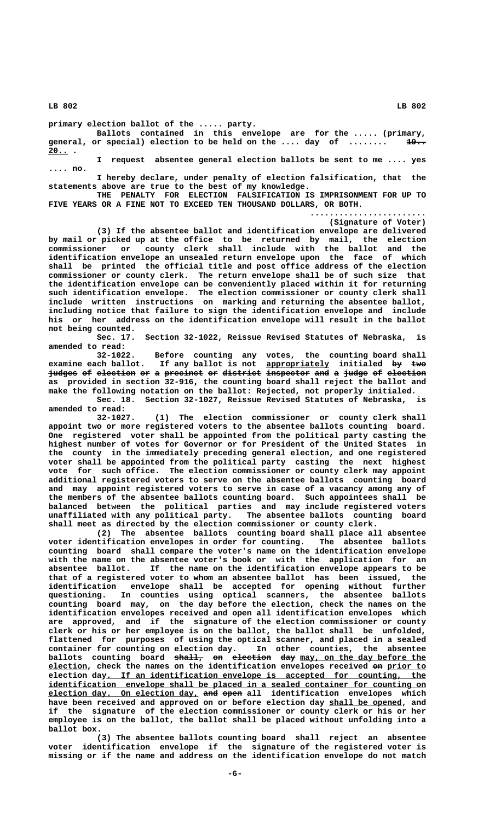**primary election ballot of the ..... party.**

**Ballots contained in this envelope are for the ..... (primary,** general, or special) election to be held on the .... day of ........ 19..  **20.. . \_\_\_\_**

**I request absentee general election ballots be sent to me .... yes .... no.**

**I hereby declare, under penalty of election falsification, that the statements above are true to the best of my knowledge.**

**THE PENALTY FOR ELECTION FALSIFICATION IS IMPRISONMENT FOR UP TO FIVE YEARS OR A FINE NOT TO EXCEED TEN THOUSAND DOLLARS, OR BOTH.**

> **........................ (Signature of Voter)**

**(3) If the absentee ballot and identification envelope are delivered by mail or picked up at the office to be returned by mail, the election commissioner or county clerk shall include with the ballot and the identification envelope an unsealed return envelope upon the face of which shall be printed the official title and post office address of the election commissioner or county clerk. The return envelope shall be of such size that the identification envelope can be conveniently placed within it for returning such identification envelope. The election commissioner or county clerk shall include written instructions on marking and returning the absentee ballot, including notice that failure to sign the identification envelope and include his or her address on the identification envelope will result in the ballot not being counted.**

**Sec. 17. Section 32-1022, Reissue Revised Statutes of Nebraska, is amended to read:**

**32-1022. Before counting any votes, the counting board shall examine each ballot. If any ballot is not appropriately initialed by two \_\_\_\_\_\_\_\_\_\_\_\_\_ —— —— judges of election or a precinct or district inspector and a judge of election —————— —— ———————— —— — ———————— —— ———————— ————————— ——— — ————— —— ——————— as provided in section 32-916, the counting board shall reject the ballot and make the following notation on the ballot: Rejected, not properly initialed.**

**Sec. 18. Section 32-1027, Reissue Revised Statutes of Nebraska, is amended to read:**

**32-1027. (1) The election commissioner or county clerk shall appoint two or more registered voters to the absentee ballots counting board. One registered voter shall be appointed from the political party casting the highest number of votes for Governor or for President of the United States in the county in the immediately preceding general election, and one registered voter shall be appointed from the political party casting the next highest vote for such office. The election commissioner or county clerk may appoint additional registered voters to serve on the absentee ballots counting board and may appoint registered voters to serve in case of a vacancy among any of the members of the absentee ballots counting board. Such appointees shall be balanced between the political parties and may include registered voters unaffiliated with any political party. The absentee ballots counting board shall meet as directed by the election commissioner or county clerk.**

**(2) The absentee ballots counting board shall place all absentee voter identification envelopes in order for counting. The absentee ballots counting board shall compare the voter's name on the identification envelope with the name on the absentee voter's book or with the application for an absentee ballot. If the name on the identification envelope appears to be that of a registered voter to whom an absentee ballot has been issued, the identification envelope shall be accepted for opening without further questioning. In counties using optical scanners, the absentee ballots counting board may, on the day before the election, check the names on the identification envelopes received and open all identification envelopes which are approved, and if the signature of the election commissioner or county clerk or his or her employee is on the ballot, the ballot shall be unfolded, flattened for purposes of using the optical scanner, and placed in a sealed container for counting on election day. In other counties, the absentee** ballots counting board <del>shall,</del> <del>on election day</del> <u>may, on the day before the </u>  **\_\_\_\_\_\_\_\_ election, check the names on the identification envelopes received on prior to —— \_\_\_\_\_\_\_\_ \_\_\_\_\_\_\_\_\_\_\_\_\_\_\_\_\_\_\_\_\_\_\_\_\_\_\_\_\_\_\_\_\_\_\_\_\_\_\_\_\_\_\_\_\_\_\_\_\_\_\_\_\_\_\_\_\_\_\_\_\_\_\_\_\_\_ election day. If an identification envelope is accepted for counting, the \_\_\_\_\_\_\_\_\_\_\_\_\_\_\_\_\_\_\_\_\_\_\_\_\_\_\_\_\_\_\_\_\_\_\_\_\_\_\_\_\_\_\_\_\_\_\_\_\_\_\_\_\_\_\_\_\_\_\_\_\_\_\_\_\_\_\_\_\_\_\_\_\_\_\_\_\_\_ identification envelope shall be placed in a sealed container for counting on election day. On election day, and open all identification envelopes which \_\_\_\_\_\_\_\_\_\_\_\_\_\_\_\_\_\_\_\_\_\_\_\_\_\_\_\_\_\_\_ ——— ———** have been received and approved on or before election day shall be opened, and **if the signature of the election commissioner or county clerk or his or her employee is on the ballot, the ballot shall be placed without unfolding into a ballot box.**

> **(3) The absentee ballots counting board shall reject an absentee voter identification envelope if the signature of the registered voter is missing or if the name and address on the identification envelope do not match**